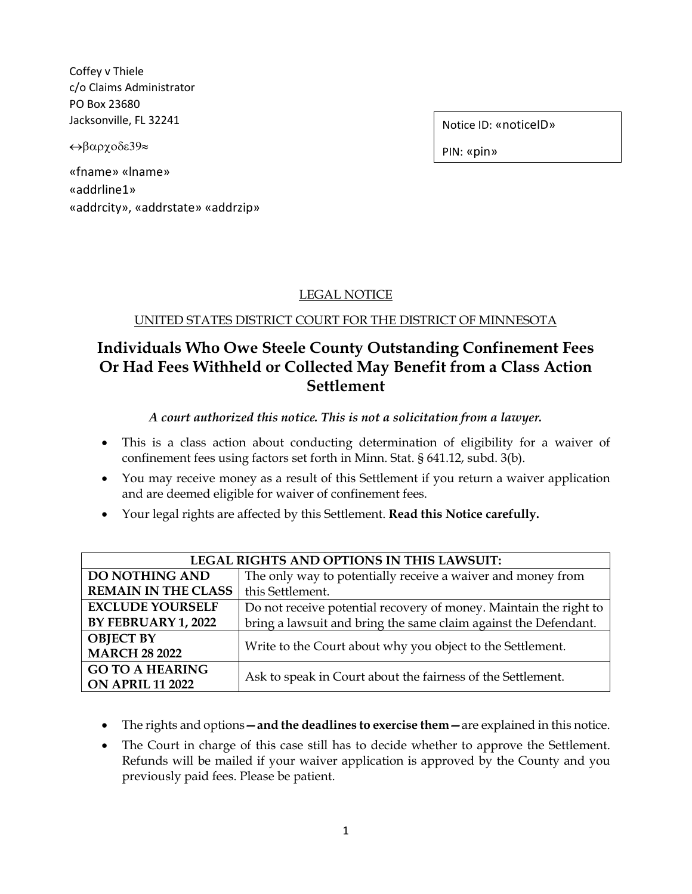Coffey v Thiele c/o Claims Administrator PO Box 23680 Jacksonville, FL 32241

↔βαρχοδε39≈

«fname» «lname» «addrline1» «addrcity», «addrstate» «addrzip» Notice ID: «noticeID»

PIN: «pin»

## LEGAL NOTICE

### UNITED STATES DISTRICT COURT FOR THE DISTRICT OF MINNESOTA

# **Individuals Who Owe Steele County Outstanding Confinement Fees Or Had Fees Withheld or Collected May Benefit from a Class Action Settlement**

### *A court authorized this notice. This is not a solicitation from a lawyer.*

- This is a class action about conducting determination of eligibility for a waiver of confinement fees using factors set forth in Minn. Stat. § 641.12, subd. 3(b).
- You may receive money as a result of this Settlement if you return a waiver application and are deemed eligible for waiver of confinement fees.
- Your legal rights are affected by this Settlement. **Read this Notice carefully.**

| <b>LEGAL RIGHTS AND OPTIONS IN THIS LAWSUIT:</b>  |                                                                   |  |  |
|---------------------------------------------------|-------------------------------------------------------------------|--|--|
| <b>DO NOTHING AND</b>                             | The only way to potentially receive a waiver and money from       |  |  |
| <b>REMAIN IN THE CLASS</b>                        | this Settlement.                                                  |  |  |
| <b>EXCLUDE YOURSELF</b>                           | Do not receive potential recovery of money. Maintain the right to |  |  |
| BY FEBRUARY 1, 2022                               | bring a lawsuit and bring the same claim against the Defendant.   |  |  |
| <b>OBJECT BY</b><br><b>MARCH 28 2022</b>          | Write to the Court about why you object to the Settlement.        |  |  |
| <b>GO TO A HEARING</b><br><b>ON APRIL 11 2022</b> | Ask to speak in Court about the fairness of the Settlement.       |  |  |

- The rights and options**—and the deadlines to exercise them—**are explained in this notice.
- The Court in charge of this case still has to decide whether to approve the Settlement. Refunds will be mailed if your waiver application is approved by the County and you previously paid fees. Please be patient.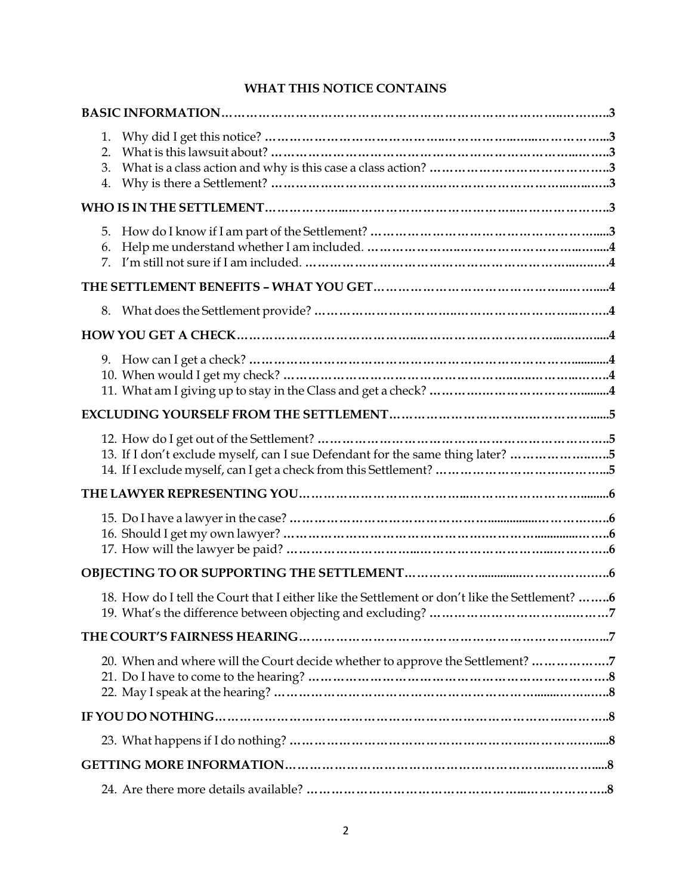### **WHAT THIS NOTICE CONTAINS**

| 1.<br>2.<br>3.<br>4.                                                                          |  |
|-----------------------------------------------------------------------------------------------|--|
|                                                                                               |  |
| 5.<br>6.<br>7.                                                                                |  |
|                                                                                               |  |
| 8.                                                                                            |  |
|                                                                                               |  |
|                                                                                               |  |
|                                                                                               |  |
| 13. If I don't exclude myself, can I sue Defendant for the same thing later? 5                |  |
|                                                                                               |  |
|                                                                                               |  |
|                                                                                               |  |
| 18. How do I tell the Court that I either like the Settlement or don't like the Settlement? 6 |  |
|                                                                                               |  |
| 20. When and where will the Court decide whether to approve the Settlement? 7                 |  |
|                                                                                               |  |
|                                                                                               |  |
|                                                                                               |  |
|                                                                                               |  |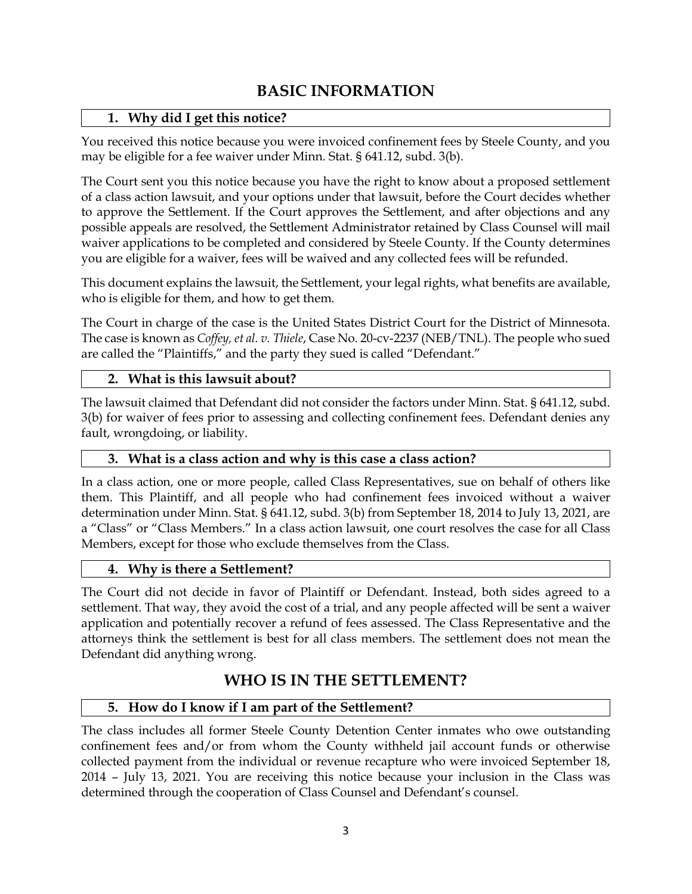# **BASIC INFORMATION**

## **1. Why did I get this notice?**

You received this notice because you were invoiced confinement fees by Steele County, and you may be eligible for a fee waiver under Minn. Stat. § 641.12, subd. 3(b).

The Court sent you this notice because you have the right to know about a proposed settlement of a class action lawsuit, and your options under that lawsuit, before the Court decides whether to approve the Settlement. If the Court approves the Settlement, and after objections and any possible appeals are resolved, the Settlement Administrator retained by Class Counsel will mail waiver applications to be completed and considered by Steele County. If the County determines you are eligible for a waiver, fees will be waived and any collected fees will be refunded.

This document explains the lawsuit, the Settlement, your legal rights, what benefits are available, who is eligible for them, and how to get them.

The Court in charge of the case is the United States District Court for the District of Minnesota. The case is known as *Coffey, et al. v. Thiele*, Case No. 20-cv-2237 (NEB/TNL). The people who sued are called the "Plaintiffs," and the party they sued is called "Defendant."

## **2. What is this lawsuit about?**

The lawsuit claimed that Defendant did not consider the factors under Minn. Stat. § 641.12, subd. 3(b) for waiver of fees prior to assessing and collecting confinement fees. Defendant denies any fault, wrongdoing, or liability.

### **3. What is a class action and why is this case a class action?**

In a class action, one or more people, called Class Representatives, sue on behalf of others like them. This Plaintiff, and all people who had confinement fees invoiced without a waiver determination under Minn. Stat. § 641.12, subd. 3(b) from September 18, 2014 to July 13, 2021, are a "Class" or "Class Members." In a class action lawsuit, one court resolves the case for all Class Members, except for those who exclude themselves from the Class.

### **4. Why is there a Settlement?**

The Court did not decide in favor of Plaintiff or Defendant. Instead, both sides agreed to a settlement. That way, they avoid the cost of a trial, and any people affected will be sent a waiver application and potentially recover a refund of fees assessed. The Class Representative and the attorneys think the settlement is best for all class members. The settlement does not mean the Defendant did anything wrong.

# **WHO IS IN THE SETTLEMENT?**

## **5. How do I know if I am part of the Settlement?**

The class includes all former Steele County Detention Center inmates who owe outstanding confinement fees and/or from whom the County withheld jail account funds or otherwise collected payment from the individual or revenue recapture who were invoiced September 18, 2014 – July 13, 2021. You are receiving this notice because your inclusion in the Class was determined through the cooperation of Class Counsel and Defendant's counsel.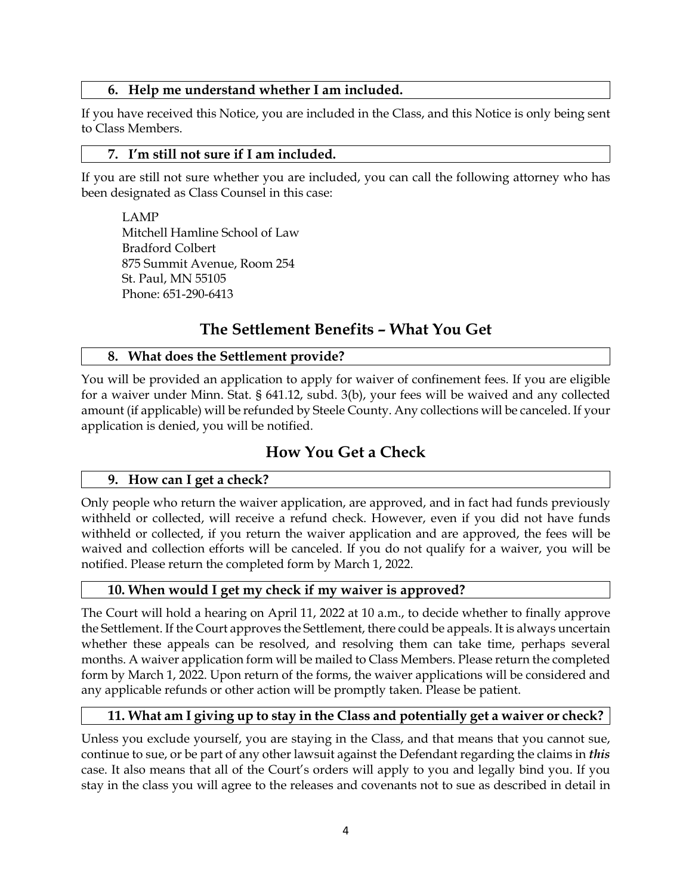### **6. Help me understand whether I am included.**

If you have received this Notice, you are included in the Class, and this Notice is only being sent to Class Members.

### **7. I'm still not sure if I am included.**

If you are still not sure whether you are included, you can call the following attorney who has been designated as Class Counsel in this case:

LAMP Mitchell Hamline School of Law Bradford Colbert 875 Summit Avenue, Room 254 St. Paul, MN 55105 Phone: 651-290-6413

## **The Settlement Benefits – What You Get**

### **8. What does the Settlement provide?**

You will be provided an application to apply for waiver of confinement fees. If you are eligible for a waiver under Minn. Stat. § 641.12, subd. 3(b), your fees will be waived and any collected amount (if applicable) will be refunded by Steele County. Any collections will be canceled. If your application is denied, you will be notified.

## **How You Get a Check**

### **9. How can I get a check?**

Only people who return the waiver application, are approved, and in fact had funds previously withheld or collected, will receive a refund check. However, even if you did not have funds withheld or collected, if you return the waiver application and are approved, the fees will be waived and collection efforts will be canceled. If you do not qualify for a waiver, you will be notified. Please return the completed form by March 1, 2022.

## **10. When would I get my check if my waiver is approved?**

The Court will hold a hearing on April 11, 2022 at 10 a.m., to decide whether to finally approve the Settlement. If the Court approves the Settlement, there could be appeals. It is always uncertain whether these appeals can be resolved, and resolving them can take time, perhaps several months. A waiver application form will be mailed to Class Members. Please return the completed form by March 1, 2022. Upon return of the forms, the waiver applications will be considered and any applicable refunds or other action will be promptly taken. Please be patient.

## **11. What am I giving up to stay in the Class and potentially get a waiver or check?**

Unless you exclude yourself, you are staying in the Class, and that means that you cannot sue, continue to sue, or be part of any other lawsuit against the Defendant regarding the claims in *this* case. It also means that all of the Court's orders will apply to you and legally bind you. If you stay in the class you will agree to the releases and covenants not to sue as described in detail in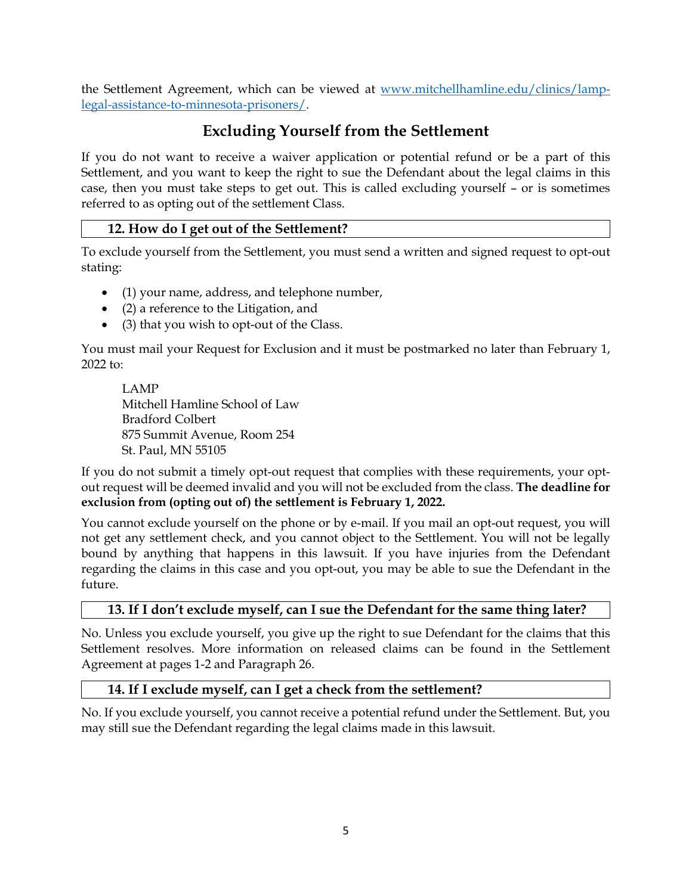the Settlement Agreement, which can be viewed at [www.mitchellhamline.edu/clinics/lamp](http://www.mitchellhamline.edu/clinics/lamp-legal-assistance-to-minnesota-prisoners/)[legal-assistance-to-minnesota-prisoners/.](http://www.mitchellhamline.edu/clinics/lamp-legal-assistance-to-minnesota-prisoners/)

## **Excluding Yourself from the Settlement**

If you do not want to receive a waiver application or potential refund or be a part of this Settlement, and you want to keep the right to sue the Defendant about the legal claims in this case, then you must take steps to get out. This is called excluding yourself – or is sometimes referred to as opting out of the settlement Class.

### **12. How do I get out of the Settlement?**

To exclude yourself from the Settlement, you must send a written and signed request to opt-out stating:

- (1) your name, address, and telephone number,
- (2) a reference to the Litigation, and
- (3) that you wish to opt-out of the Class.

You must mail your Request for Exclusion and it must be postmarked no later than February 1, 2022 to:

LAMP Mitchell Hamline School of Law Bradford Colbert 875 Summit Avenue, Room 254 St. Paul, MN 55105

If you do not submit a timely opt-out request that complies with these requirements, your optout request will be deemed invalid and you will not be excluded from the class. **The deadline for exclusion from (opting out of) the settlement is February 1, 2022.**

You cannot exclude yourself on the phone or by e-mail. If you mail an opt-out request, you will not get any settlement check, and you cannot object to the Settlement. You will not be legally bound by anything that happens in this lawsuit. If you have injuries from the Defendant regarding the claims in this case and you opt-out, you may be able to sue the Defendant in the future.

### **13. If I don't exclude myself, can I sue the Defendant for the same thing later?**

No. Unless you exclude yourself, you give up the right to sue Defendant for the claims that this Settlement resolves. More information on released claims can be found in the Settlement Agreement at pages 1-2 and Paragraph 26.

### **14. If I exclude myself, can I get a check from the settlement?**

No. If you exclude yourself, you cannot receive a potential refund under the Settlement. But, you may still sue the Defendant regarding the legal claims made in this lawsuit.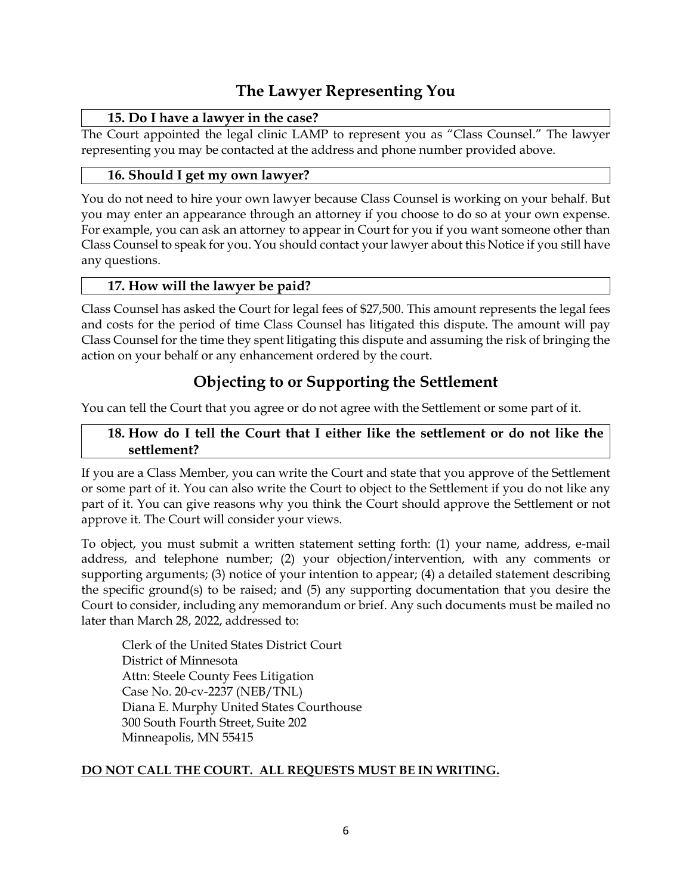# **The Lawyer Representing You**

## **15. Do I have a lawyer in the case?**

The Court appointed the legal clinic LAMP to represent you as "Class Counsel." The lawyer representing you may be contacted at the address and phone number provided above.

## **16. Should I get my own lawyer?**

You do not need to hire your own lawyer because Class Counsel is working on your behalf. But you may enter an appearance through an attorney if you choose to do so at your own expense. For example, you can ask an attorney to appear in Court for you if you want someone other than Class Counsel to speak for you. You should contact your lawyer about this Notice if you still have any questions.

## **17. How will the lawyer be paid?**

Class Counsel has asked the Court for legal fees of \$27,500. This amount represents the legal fees and costs for the period of time Class Counsel has litigated this dispute. The amount will pay Class Counsel for the time they spent litigating this dispute and assuming the risk of bringing the action on your behalf or any enhancement ordered by the court.

# **Objecting to or Supporting the Settlement**

You can tell the Court that you agree or do not agree with the Settlement or some part of it.

### **18. How do I tell the Court that I either like the settlement or do not like the settlement?**

If you are a Class Member, you can write the Court and state that you approve of the Settlement or some part of it. You can also write the Court to object to the Settlement if you do not like any part of it. You can give reasons why you think the Court should approve the Settlement or not approve it. The Court will consider your views.

To object, you must submit a written statement setting forth: (1) your name, address, e-mail address, and telephone number; (2) your objection/intervention, with any comments or supporting arguments; (3) notice of your intention to appear; (4) a detailed statement describing the specific ground(s) to be raised; and (5) any supporting documentation that you desire the Court to consider, including any memorandum or brief. Any such documents must be mailed no later than March 28, 2022, addressed to:

Clerk of the United States District Court District of Minnesota Attn: Steele County Fees Litigation Case No. 20-cv-2237 (NEB/TNL) Diana E. Murphy United States Courthouse 300 South Fourth Street, Suite 202 Minneapolis, MN 55415

## **DO NOT CALL THE COURT. ALL REQUESTS MUST BE IN WRITING.**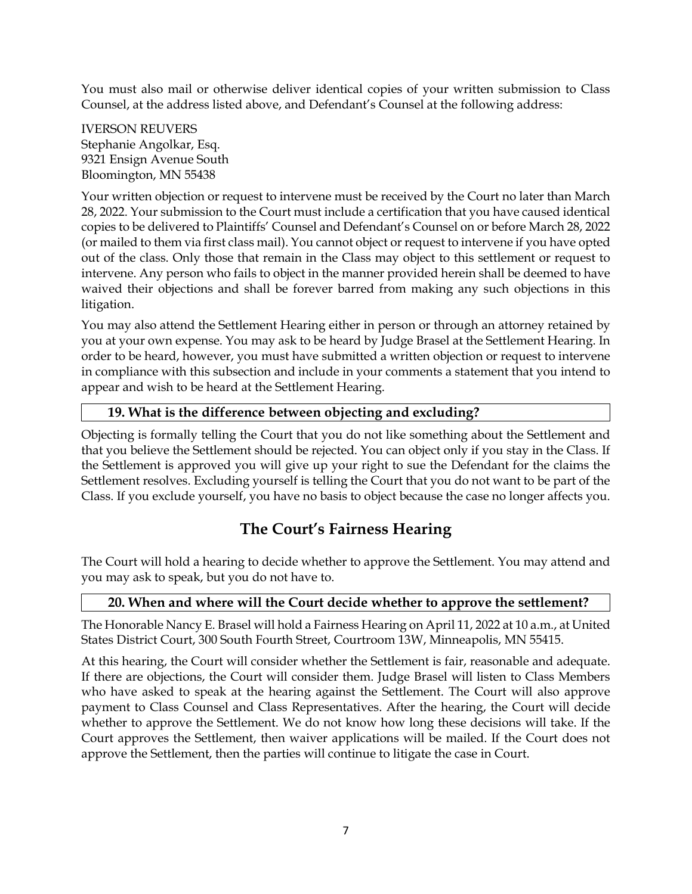You must also mail or otherwise deliver identical copies of your written submission to Class Counsel, at the address listed above, and Defendant's Counsel at the following address:

IVERSON REUVERS Stephanie Angolkar, Esq. 9321 Ensign Avenue South Bloomington, MN 55438

Your written objection or request to intervene must be received by the Court no later than March 28, 2022. Your submission to the Court must include a certification that you have caused identical copies to be delivered to Plaintiffs' Counsel and Defendant's Counsel on or before March 28, 2022 (or mailed to them via first class mail). You cannot object or request to intervene if you have opted out of the class. Only those that remain in the Class may object to this settlement or request to intervene. Any person who fails to object in the manner provided herein shall be deemed to have waived their objections and shall be forever barred from making any such objections in this litigation.

You may also attend the Settlement Hearing either in person or through an attorney retained by you at your own expense. You may ask to be heard by Judge Brasel at the Settlement Hearing. In order to be heard, however, you must have submitted a written objection or request to intervene in compliance with this subsection and include in your comments a statement that you intend to appear and wish to be heard at the Settlement Hearing.

### **19. What is the difference between objecting and excluding?**

Objecting is formally telling the Court that you do not like something about the Settlement and that you believe the Settlement should be rejected. You can object only if you stay in the Class. If the Settlement is approved you will give up your right to sue the Defendant for the claims the Settlement resolves. Excluding yourself is telling the Court that you do not want to be part of the Class. If you exclude yourself, you have no basis to object because the case no longer affects you.

## **The Court's Fairness Hearing**

The Court will hold a hearing to decide whether to approve the Settlement. You may attend and you may ask to speak, but you do not have to.

### **20. When and where will the Court decide whether to approve the settlement?**

The Honorable Nancy E. Brasel will hold a Fairness Hearing on April 11, 2022 at 10 a.m., at United States District Court, 300 South Fourth Street, Courtroom 13W, Minneapolis, MN 55415.

At this hearing, the Court will consider whether the Settlement is fair, reasonable and adequate. If there are objections, the Court will consider them. Judge Brasel will listen to Class Members who have asked to speak at the hearing against the Settlement. The Court will also approve payment to Class Counsel and Class Representatives. After the hearing, the Court will decide whether to approve the Settlement. We do not know how long these decisions will take. If the Court approves the Settlement, then waiver applications will be mailed. If the Court does not approve the Settlement, then the parties will continue to litigate the case in Court.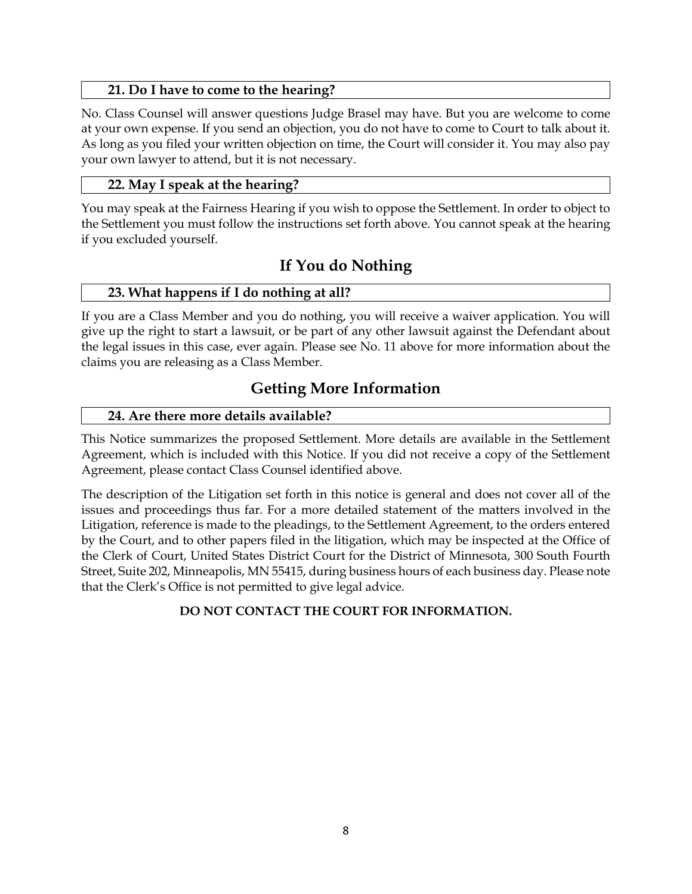### **21. Do I have to come to the hearing?**

No. Class Counsel will answer questions Judge Brasel may have. But you are welcome to come at your own expense. If you send an objection, you do not have to come to Court to talk about it. As long as you filed your written objection on time, the Court will consider it. You may also pay your own lawyer to attend, but it is not necessary.

### **22. May I speak at the hearing?**

You may speak at the Fairness Hearing if you wish to oppose the Settlement. In order to object to the Settlement you must follow the instructions set forth above. You cannot speak at the hearing if you excluded yourself.

# **If You do Nothing**

### **23. What happens if I do nothing at all?**

If you are a Class Member and you do nothing, you will receive a waiver application. You will give up the right to start a lawsuit, or be part of any other lawsuit against the Defendant about the legal issues in this case, ever again. Please see No. 11 above for more information about the claims you are releasing as a Class Member.

# **Getting More Information**

### **24. Are there more details available?**

This Notice summarizes the proposed Settlement. More details are available in the Settlement Agreement, which is included with this Notice. If you did not receive a copy of the Settlement Agreement, please contact Class Counsel identified above.

The description of the Litigation set forth in this notice is general and does not cover all of the issues and proceedings thus far. For a more detailed statement of the matters involved in the Litigation, reference is made to the pleadings, to the Settlement Agreement, to the orders entered by the Court, and to other papers filed in the litigation, which may be inspected at the Office of the Clerk of Court, United States District Court for the District of Minnesota, 300 South Fourth Street, Suite 202, Minneapolis, MN 55415, during business hours of each business day. Please note that the Clerk's Office is not permitted to give legal advice.

## **DO NOT CONTACT THE COURT FOR INFORMATION.**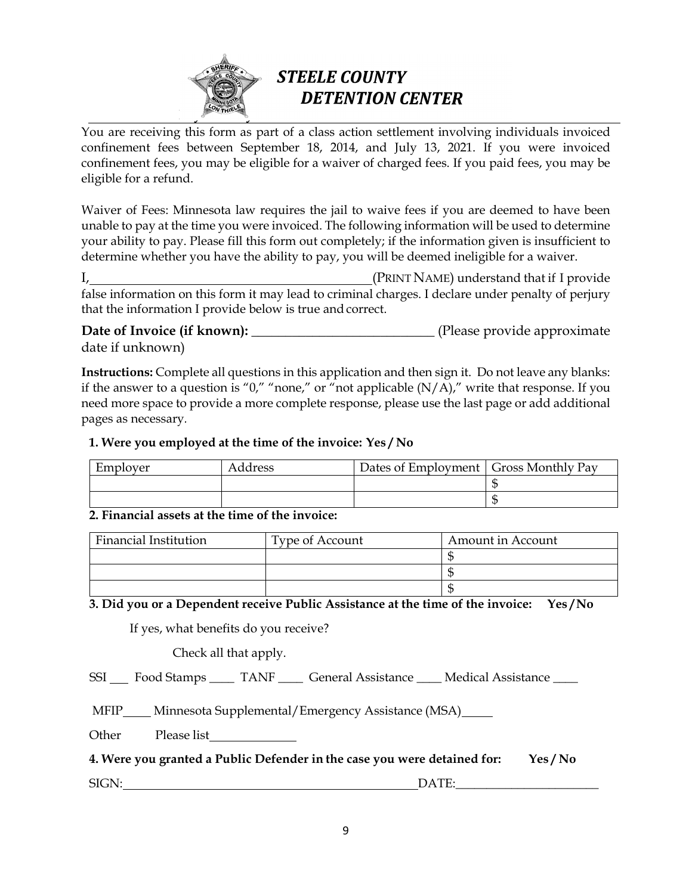

# **STEELE COUNTY DETENTION CENTER**

You are receiving this form as part of a class action settlement involving individuals invoiced confinement fees between September 18, 2014, and July 13, 2021. If you were invoiced confinement fees, you may be eligible for a waiver of charged fees. If you paid fees, you may be eligible for a refund.

Waiver of Fees: Minnesota law requires the jail to waive fees if you are deemed to have been unable to pay at the time you were invoiced. The following information will be used to determine your ability to pay. Please fill this form out completely; if the information given is insufficient to determine whether you have the ability to pay, you will be deemed ineligible for a waiver.

I, (PRINT NAME) understand that if I provide false information on this form it may lead to criminal charges. I declare under penalty of perjury that the information I provide below is true and correct.

**Date of Invoice (if known):** \_\_\_\_\_\_\_\_\_\_\_\_\_\_\_\_\_\_\_\_\_\_\_\_\_\_\_\_\_\_\_\_\_ (Please provide approximate date if unknown)

**Instructions:** Complete all questions in this application and then sign it. Do not leave any blanks: if the answer to a question is "0," "none," or "not applicable  $(N/A)$ ," write that response. If you need more space to provide a more complete response, please use the last page or add additional pages as necessary*.* 

### **1. Were you employed at the time of the invoice: Yes / No**

| Employer | Address | Dates of Employment   Gross Monthly Pay |  |
|----------|---------|-----------------------------------------|--|
|          |         |                                         |  |
|          |         |                                         |  |

### **2. Financial assets at the time of the invoice:**

| Financial Institution | Type of Account | Amount in Account |  |
|-----------------------|-----------------|-------------------|--|
|                       |                 |                   |  |
|                       |                 |                   |  |
|                       |                 |                   |  |

### **3. Did you or a Dependent receive Public Assistance at the time of the invoice: Yes / No**

If yes, what benefits do you receive?

Check all that apply.

SSI Food Stamps TANF General Assistance Medical Assistance

MFIP Minnesota Supplemental/Emergency Assistance (MSA)

Other Please list

### **4. Were you granted a Public Defender in the case you were detained for: Yes / No**

SIGN: DATE:

9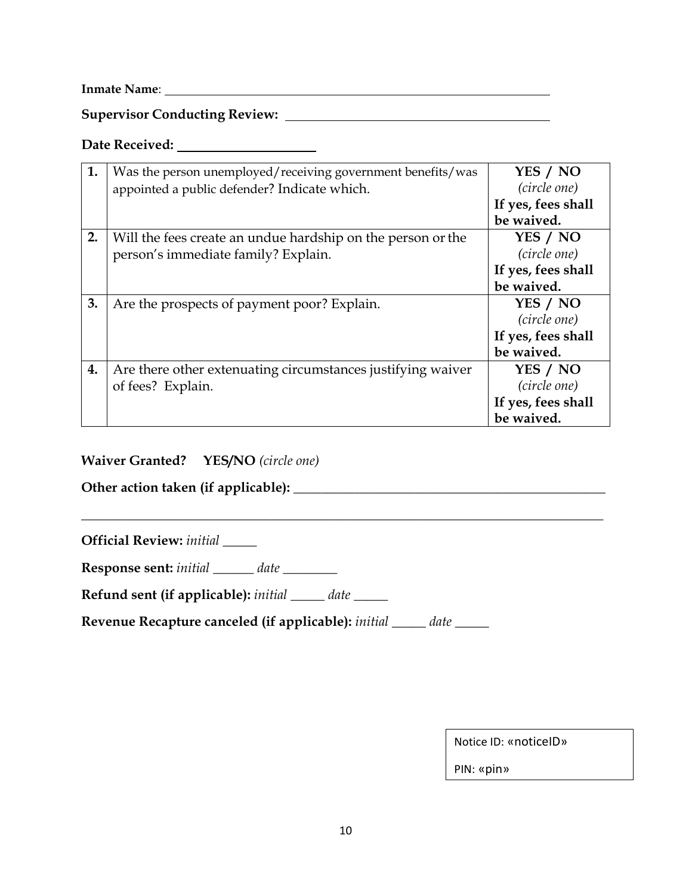**Inmate Name**:

**Supervisor Conducting Review:** 

# **Date Received:**

| 1. | Was the person unemployed/receiving government benefits/was | YES / NO           |
|----|-------------------------------------------------------------|--------------------|
|    | appointed a public defender? Indicate which.                | (circle one)       |
|    |                                                             | If yes, fees shall |
|    |                                                             | be waived.         |
| 2. | Will the fees create an undue hardship on the person or the | YES / NO           |
|    | person's immediate family? Explain.                         | (circle one)       |
|    |                                                             | If yes, fees shall |
|    |                                                             | be waived.         |
| 3. | Are the prospects of payment poor? Explain.                 | YES / NO           |
|    |                                                             | (circle one)       |
|    |                                                             | If yes, fees shall |
|    |                                                             | be waived.         |
| 4. | Are there other extenuating circumstances justifying waiver | YES / NO           |
|    | of fees? Explain.                                           | (circle one)       |
|    |                                                             | If yes, fees shall |
|    |                                                             | be waived.         |

**\_\_\_\_\_\_\_\_\_\_\_\_\_\_\_\_\_\_\_\_\_\_\_\_\_\_\_\_\_\_\_\_\_\_\_\_\_\_\_\_\_\_\_\_\_\_\_\_\_\_\_\_\_\_\_\_\_\_\_\_\_\_\_\_\_\_\_\_\_\_\_\_\_\_\_\_\_**

## **Waiver Granted? YES/NO** *(circle one)*

**Other action taken (if applicable): \_\_\_\_\_\_\_\_\_\_\_\_\_\_\_\_\_\_\_\_\_\_\_\_\_\_\_\_\_\_\_\_\_\_\_\_\_\_\_\_\_\_\_\_\_\_**

**Official Review:** *initial \_\_\_\_\_*

**Response sent:** *initial \_\_\_\_\_\_ date \_\_\_\_\_\_\_\_*

**Refund sent (if applicable):** *initial \_\_\_\_\_ date \_\_\_\_\_*

**Revenue Recapture canceled (if applicable):** *initial \_\_\_\_\_ date \_\_\_\_\_*

Notice ID: «noticeID»

PIN: «pin»